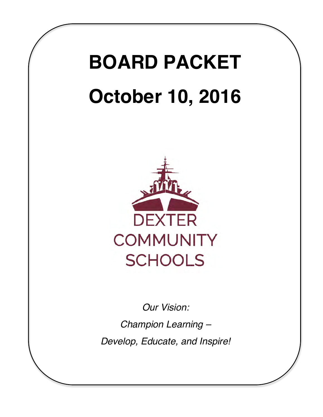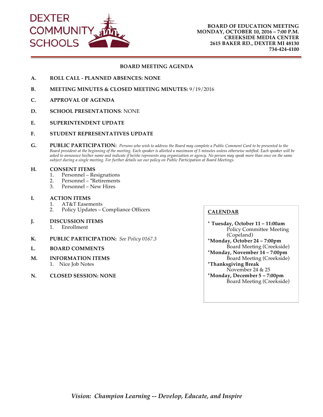

#### **BOARD MEETING AGENDA**

- **A. ROLL CALL PLANNED ABSENCES: NONE**
- **B. MEETING MINUTES & CLOSED MEETING MINUTES:** 9/19/2016
- **C. APPROVAL OF AGENDA**
- **D. SCHOOL PRESENTATIONS**: NONE
- **E. SUPERINTENDENT UPDATE**
- **F. STUDENT REPRESENTATIVES UPDATE**
- **G. PUBLIC PARTICIPATION:** *Persons who wish to address the Board may complete a Public Comment Card to be presented to the Board president at the beginning of the meeting. Each speaker is allotted a maximum of 5 minutes unless otherwise notified. Each speaker will be asked to announce his/her name and indicate if he/she represents any organization or agency. No person may speak more than once on the same subject during a single meeting. For further details see our policy on Public Participation at Board Meetings.*

#### **H. CONSENT ITEMS**

- 1. Personnel Resignations
- 2. Personnel \*Retirements
- 3. Personnel New Hires

#### **I. ACTION ITEMS**

- 1. AT&T Easements
- 2. Policy Updates Compliance Officers
- **J. DISCUSSION ITEMS**
	- 1. Enrollment
- **K. PUBLIC PARTICIPATION:** *See Policy 0167.3*
- **L. BOARD COMMENTS**
- **M. INFORMATION ITEMS** 1. Nice Job Notes
- **N. CLOSED SESSION: NONE**

#### **CALENDAR**

**\* Tuesday, October 11 – 11:00am** Policy Committee Meeting (Copeland) **\*Monday, October 24 – 7:00pm** Board Meeting (Creekside) **\*Monday, November 14 – 7:00pm** Board Meeting (Creekside) **\*Thanksgiving Break** November 24 & 25 **\*Monday, December 5 – 7:00pm** Board Meeting (Creekside)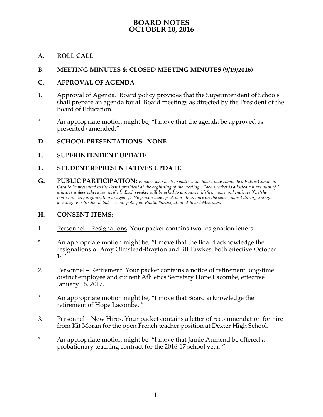## **BOARD NOTES OCTOBER 10, 2016**

#### **A. ROLL CALL**

#### **B. MEETING MINUTES & CLOSED MEETING MINUTES (9/19/2016)**

#### **C. APPROVAL OF AGENDA**

- 1. Approval of Agenda. Board policy provides that the Superintendent of Schools shall prepare an agenda for all Board meetings as directed by the President of the Board of Education.
- \* An appropriate motion might be, "I move that the agenda be approved as presented/amended."

#### **D. SCHOOL PRESENTATIONS: NONE**

#### **E. SUPERINTENDENT UPDATE**

#### **F. STUDENT REPRESENTATIVES UPDATE**

**G. PUBLIC PARTICIPATION:** *Persons who wish to address the Board may complete a Public Comment Card to be presented to the Board president at the beginning of the meeting. Each speaker is allotted a maximum of 5 minutes unless otherwise notified. Each speaker will be asked to announce his/her name and indicate if he/she represents any organization or agency. No person may speak more than once on the same subject during a single meeting. For further details see our policy on Public Participation at Board Meetings.*

#### **H. CONSENT ITEMS:**

- 1. Personnel Resignations. Your packet contains two resignation letters.
- \* An appropriate motion might be, "I move that the Board acknowledge the resignations of Amy Olmstead-Brayton and Jill Fawkes, both effective October  $14.$
- 2. Personnel Retirement. Your packet contains a notice of retirement long-time district employee and current Athletics Secretary Hope Lacombe, effective January 16, 2017.
- \* An appropriate motion might be, "I move that Board acknowledge the retirement of Hope Lacombe. "
- 3. Personnel New Hires. Your packet contains a letter of recommendation for hire from Kit Moran for the open French teacher position at Dexter High School.
- \* An appropriate motion might be, "I move that Jamie Aumend be offered a probationary teaching contract for the 2016-17 school year. "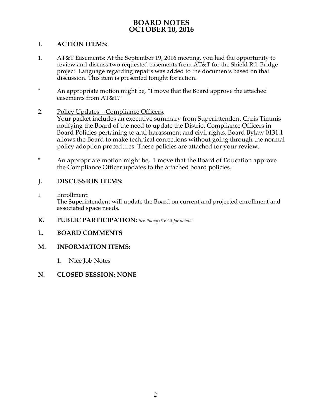## **BOARD NOTES OCTOBER 10, 2016**

#### **I. ACTION ITEMS:**

- 1. AT&T Easements: At the September 19, 2016 meeting, you had the opportunity to review and discuss two requested easements from AT&T for the Shield Rd. Bridge project. Language regarding repairs was added to the documents based on that discussion. This item is presented tonight for action.
- \* An appropriate motion might be, "I move that the Board approve the attached easements from AT&T."
- 2. Policy Updates Compliance Officers.

Your packet includes an executive summary from Superintendent Chris Timmis notifying the Board of the need to update the District Compliance Officers in Board Policies pertaining to anti-harassment and civil rights. Board Bylaw 0131.1 allows the Board to make technical corrections without going through the normal policy adoption procedures. These policies are attached for your review.

\* An appropriate motion might be, "I move that the Board of Education approve the Compliance Officer updates to the attached board policies."

## **J. DISCUSSION ITEMS:**

- 1. Enrollment: The Superintendent will update the Board on current and projected enrollment and associated space needs.
- **K. PUBLIC PARTICIPATION:** *See Policy 0167.3 for details.*

#### **L. BOARD COMMENTS**

#### **M. INFORMATION ITEMS:**

1. Nice Job Notes

#### **N. CLOSED SESSION: NONE**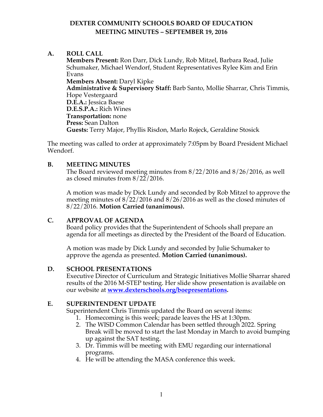#### **A. ROLL CALL**

**Members Present:** Ron Darr, Dick Lundy, Rob Mitzel, Barbara Read, Julie Schumaker, Michael Wendorf, Student Representatives Rylee Kim and Erin Evans **Members Absent:** Daryl Kipke **Administrative & Supervisory Staff:** Barb Santo, Mollie Sharrar, Chris Timmis, Hope Vestergaard **D.E.A.:** Jessica Baese **D.E.S.P.A.:** Rich Wines **Transportation:** none **Press:** Sean Dalton **Guests:** Terry Major, Phyllis Risdon, Marlo Rojeck, Geraldine Stosick

The meeting was called to order at approximately 7:05pm by Board President Michael Wendorf.

#### **B. MEETING MINUTES**

The Board reviewed meeting minutes from 8/22/2016 and 8/26/2016, as well as closed minutes from  $8/22/2016$ .

A motion was made by Dick Lundy and seconded by Rob Mitzel to approve the meeting minutes of 8/22/2016 and 8/26/2016 as well as the closed minutes of 8/22/2016. **Motion Carried (unanimous).** 

#### **C. APPROVAL OF AGENDA**

Board policy provides that the Superintendent of Schools shall prepare an agenda for all meetings as directed by the President of the Board of Education.

A motion was made by Dick Lundy and seconded by Julie Schumaker to approve the agenda as presented. **Motion Carried (unanimous).** 

#### **D. SCHOOL PRESENTATIONS**

Executive Director of Curriculum and Strategic Initiatives Mollie Sharrar shared results of the 2016 M-STEP testing. Her slide show presentation is available on our website at **www.dexterschools.org/boepresentations.**

#### **E. SUPERINTENDENT UPDATE**

Superintendent Chris Timmis updated the Board on several items:

- 1. Homecoming is this week; parade leaves the HS at 1:30pm.
- 2. The WISD Common Calendar has been settled through 2022. Spring Break will be moved to start the last Monday in March to avoid bumping up against the SAT testing.
- 3. Dr. Timmis will be meeting with EMU regarding our international programs.
- 4. He will be attending the MASA conference this week.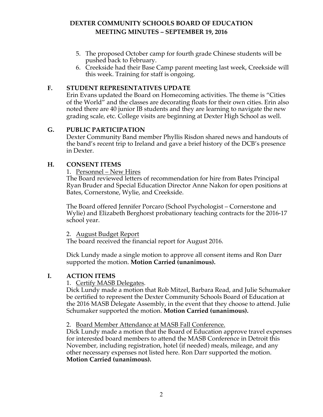- 5. The proposed October camp for fourth grade Chinese students will be pushed back to February.
- 6. Creekside had their Base Camp parent meeting last week, Creekside will this week. Training for staff is ongoing.

#### **F. STUDENT REPRESENTATIVES UPDATE**

Erin Evans updated the Board on Homecoming activities. The theme is "Cities of the World" and the classes are decorating floats for their own cities. Erin also noted there are 40 junior IB students and they are learning to navigate the new grading scale, etc. College visits are beginning at Dexter High School as well.

#### **G. PUBLIC PARTICIPATION**

Dexter Community Band member Phyllis Risdon shared news and handouts of the band's recent trip to Ireland and gave a brief history of the DCB's presence in Dexter.

#### **H. CONSENT ITEMS**

1. Personnel – New Hires

The Board reviewed letters of recommendation for hire from Bates Principal Ryan Bruder and Special Education Director Anne Nakon for open positions at Bates, Cornerstone, Wylie, and Creekside.

The Board offered Jennifer Porcaro (School Psychologist – Cornerstone and Wylie) and Elizabeth Berghorst probationary teaching contracts for the 2016-17 school year.

#### 2. August Budget Report

The board received the financial report for August 2016.

Dick Lundy made a single motion to approve all consent items and Ron Darr supported the motion. **Motion Carried (unanimous).** 

#### **I. ACTION ITEMS**

#### 1. Certify MASB Delegates.

Dick Lundy made a motion that Rob Mitzel, Barbara Read, and Julie Schumaker be certified to represent the Dexter Community Schools Board of Education at the 2016 MASB Delegate Assembly, in the event that they choose to attend. Julie Schumaker supported the motion. **Motion Carried (unanimous).**

#### 2. Board Member Attendance at MASB Fall Conference.

Dick Lundy made a motion that the Board of Education approve travel expenses for interested board members to attend the MASB Conference in Detroit this November, including registration, hotel (if needed) meals, mileage, and any other necessary expenses not listed here. Ron Darr supported the motion. **Motion Carried (unanimous).**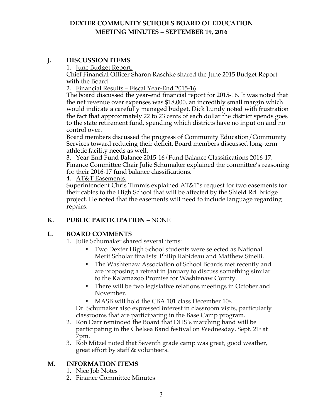#### **J. DISCUSSION ITEMS**

1. June Budget Report.

Chief Financial Officer Sharon Raschke shared the June 2015 Budget Report with the Board.

2. Financial Results – Fiscal Year-End 2015-16

The board discussed the year-end financial report for 2015-16. It was noted that the net revenue over expenses was \$18,000, an incredibly small margin which would indicate a carefully managed budget. Dick Lundy noted with frustration the fact that approximately 22 to 23 cents of each dollar the district spends goes to the state retirement fund, spending which districts have no input on and no control over.

Board members discussed the progress of Community Education/Community Services toward reducing their deficit. Board members discussed long-term athletic facility needs as well.

3. Year-End Fund Balance 2015-16/Fund Balance Classifications 2016-17. Finance Committee Chair Julie Schumaker explained the committee's reasoning for their 2016-17 fund balance classifications.

4. AT&T Easements.

Superintendent Chris Timmis explained AT&T's request for two easements for their cables to the High School that will be affected by the Shield Rd. bridge project. He noted that the easements will need to include language regarding repairs.

#### **K. PUBLIC PARTICIPATION** – NONE

#### **L. BOARD COMMENTS**

- 1. Julie Schumaker shared several items:
	- Two Dexter High School students were selected as National Merit Scholar finalists: Philip Rabideau and Matthew Sinelli.
	- The Washtenaw Association of School Boards met recently and are proposing a retreat in January to discuss something similar to the Kalamazoo Promise for Washtenaw County.
	- There will be two legislative relations meetings in October and November.
	- MASB will hold the CBA 101 class December  $10^{\text{th}}$ .

Dr. Schumaker also expressed interest in classroom visits, particularly classrooms that are participating in the Base Camp program.

- 2. Ron Darr reminded the Board that DHS's marching band will be participating in the Chelsea Band festival on Wednesday, Sept. 21<sup>\*</sup> at 7pm.
- 3. Rob Mitzel noted that Seventh grade camp was great, good weather, great effort by staff & volunteers.

#### **M. INFORMATION ITEMS**

- 1. Nice Job Notes
- 2. Finance Committee Minutes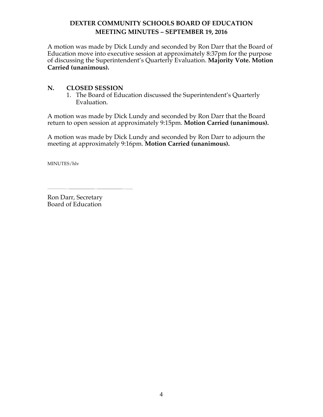A motion was made by Dick Lundy and seconded by Ron Darr that the Board of Education move into executive session at approximately 8:37pm for the purpose of discussing the Superintendent's Quarterly Evaluation. **Majority Vote. Motion Carried (unanimous).** 

#### **N. CLOSED SESSION**

1. The Board of Education discussed the Superintendent's Quarterly Evaluation.

A motion was made by Dick Lundy and seconded by Ron Darr that the Board return to open session at approximately 9:15pm. **Motion Carried (unanimous).** 

A motion was made by Dick Lundy and seconded by Ron Darr to adjourn the meeting at approximately 9:16pm. **Motion Carried (unanimous).** 

MINUTES/hlv

Ron Darr, Secretary Board of Education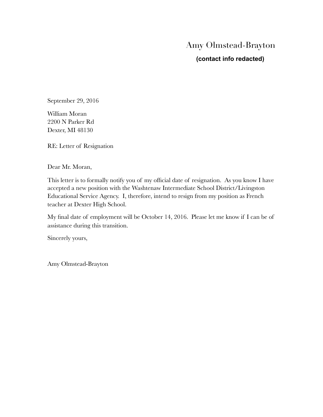## Amy Olmstead-Brayton

(contact info redacted)

September 29, 2016

William Moran 2200 N Parker Rd Dexter, MI 48130

RE: Letter of Resignation

Dear Mr. Moran,

This letter is to formally notify you of my official date of resignation. As you know I have accepted a new position with the Washtenaw Intermediate School District/Livingston Educational Service Agency. I, therefore, intend to resign from my position as French teacher at Dexter High School.

My final date of employment will be October 14, 2016. Please let me know if I can be of assistance during this transition.

Sincerely yours,

Amy Olmstead-Brayton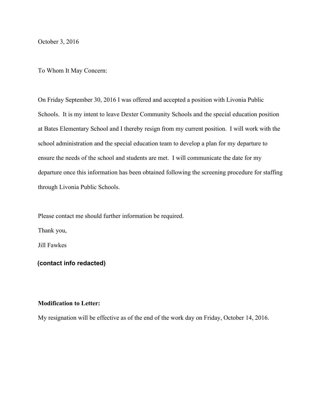October 3, 2016

To Whom It May Concern:

On Friday September 30, 2016 I was offered and accepted a position with Livonia Public Schools. It is my intent to leave Dexter Community Schools and the special education position at Bates Elementary School and I thereby resign from my current position. I will work with the school administration and the special education team to develop a plan for my departure to ensure the needs of the school and students are met. I will communicate the date for my departure once this information has been obtained following the screening procedure for staffing through Livonia Public Schools.

Please contact me should further information be required.

Thank you,

Jill Fawkes

# (734) 516-3059 **(contact info redacted)**

#### **Modification to Letter:**

My resignation will be effective as of the end of the work day on Friday, October 14, 2016.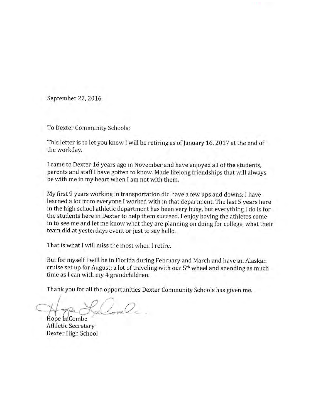September 22, 2016

To Dexter Community Schools;

This letter is to let you know I will be retiring as of January 16, 2017 at the end of the workday.

I came to Dexter 16 years ago in November and have enjoyed all of the students, parents and staff I have gotten to know. Made lifelong friendships that will always be with me in my heart when I am not with them.

My first 9 years working in transportation did have a few ups and downs; I have learned a lot from everyone I worked with in that department. The last 5 years here in the high school athletic department has been very busy, but everything I do is for the students here in Dexter to help them succeed. I enjoy having the athletes come in to see me and let me know what they are planning on doing for college, what their team did at yesterdays event or just to say hello.

That is what I will miss the most when I retire.

But for myself I will be in Florida during February and March and have an Alaskan cruise set up for August; a lot of traveling with our 5<sup>th</sup> wheel and spending as much time as I can with my 4 grandchildren.

Thank you for all the opportunities Dexter Community Schools has given me.

Hope LaCombe **Athletic Secretary** Dexter High School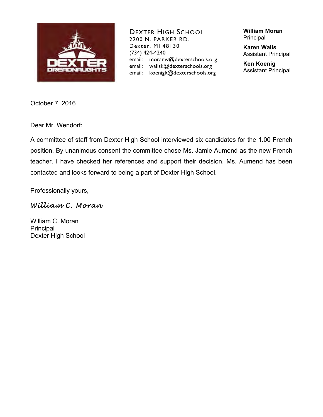

DEXTER HIGH SCHOOL 2200 N. PARKER RD. Dexter, MI 48130 (734) 424-4240 email: moranw@dexterschools.org email: wallsk@dexterschools.org email: koenigk@dexterschools.org

**William Moran** Principal

**Karen Walls** Assistant Principal

**Ken Koenig** Assistant Principal

October 7, 2016

Dear Mr. Wendorf:

A committee of staff from Dexter High School interviewed six candidates for the 1.00 French position. By unanimous consent the committee chose Ms. Jamie Aumend as the new French teacher. I have checked her references and support their decision. Ms. Aumend has been contacted and looks forward to being a part of Dexter High School.

Professionally yours,

## *William C. Moran*

William C. Moran Principal Dexter High School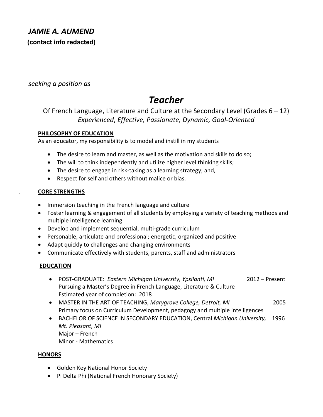## *JAMIE A. AUMEND 828 Earhart Rd., Ann Arbor, MI 48105*  **(contact info redacted)***734.904.4496*

*seeking a position as*

# *Teacher*

## Of French Language, Literature and Culture at the Secondary Level (Grades 6 – 12) *Experienced*, *Effective, Passionate, Dynamic, Goal-Oriented*

#### **PHILOSOPHY OF EDUCATION**

As an educator, my responsibility is to model and instill in my students

- The desire to learn and master, as well as the motivation and skills to do so;
- The will to think independently and utilize higher level thinking skills;
- The desire to engage in risk-taking as a learning strategy; and,
- Respect for self and others without malice or bias.

#### . **CORE STRENGTHS**

- Immersion teaching in the French language and culture
- Foster learning & engagement of all students by employing a variety of teaching methods and multiple intelligence learning
- Develop and implement sequential, multi-grade curriculum
- Personable, articulate and professional; energetic, organized and positive
- Adapt quickly to challenges and changing environments
- Communicate effectively with students, parents, staff and administrators

#### **EDUCATION**

- POST-GRADUATE: *Eastern Michigan University, Ypsilanti, MI* 2012 Present Pursuing a Master's Degree in French Language, Literature & Culture Estimated year of completion: 2018
- MASTER IN THE ART OF TEACHING, *Marygrove College, Detroit, MI* 2005 Primary focus on Curriculum Development, pedagogy and multiple intelligences
- BACHELOR OF SCIENCE IN SECONDARY EDUCATION, Central *Michigan University,* 1996 *Mt. Pleasant, MI* Major – French Minor - Mathematics

#### **HONORS**

- Golden Key National Honor Society
- Pi Delta Phi (National French Honorary Society)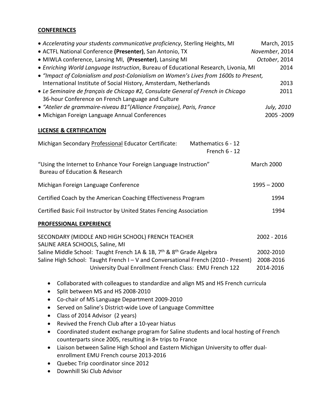#### **CONFERENCES**

| • Accelerating your students communicative proficiency, Sterling Heights, MI<br>• ACTFL National Conference (Presenter), San Antonio, TX | March, 2015<br>November, 2014 |  |  |
|------------------------------------------------------------------------------------------------------------------------------------------|-------------------------------|--|--|
| • MIWLA conference, Lansing MI, (Presenter), Lansing MI                                                                                  | October, 2014<br>2014         |  |  |
| • Enriching World Language Instruction, Bureau of Educational Research, Livonia, MI                                                      |                               |  |  |
| • "Impact of Colonialism and post-Colonialism on Women's Lives from 1600s to Present,                                                    |                               |  |  |
| International Institute of Social History, Amsterdam, Netherlands                                                                        | 2013                          |  |  |
| • Le Seminaire de français de Chicago #2, Consulate General of French in Chicago                                                         | 2011                          |  |  |
| 36-hour Conference on French Language and Culture                                                                                        |                               |  |  |
| • "Atelier de grammaire-niveau B1" (Alliance Française), Paris, France                                                                   | July, 2010                    |  |  |
| • Michigan Foreign Language Annual Conferences                                                                                           | 2005 - 2009                   |  |  |
|                                                                                                                                          |                               |  |  |
| <b>LICENSE &amp; CERTIFICATION</b>                                                                                                       |                               |  |  |
| Michigan Secondary Professional Educator Certificate:<br>Mathematics 6 - 12<br>French 6 - 12                                             |                               |  |  |
| "Using the Internet to Enhance Your Foreign Language Instruction"<br>Bureau of Education & Research                                      | <b>March 2000</b>             |  |  |
| Michigan Foreign Language Conference                                                                                                     | $1995 - 2000$                 |  |  |
| Certified Coach by the American Coaching Effectiveness Program                                                                           | 1994                          |  |  |

Certified Basic Foil Instructor by United States Fencing Association 1994

#### **PROFESSIONAL EXPERIENCE**

| SECONDARY (MIDDLE AND HIGH SCHOOL) FRENCH TEACHER                                            | 2002 - 2016 |
|----------------------------------------------------------------------------------------------|-------------|
| SALINE AREA SCHOOLS, Saline, MI                                                              |             |
| Saline Middle School: Taught French 1A & 1B, 7 <sup>th</sup> & 8 <sup>th</sup> Grade Algebra | 2002-2010   |
| Saline High School: Taught French I - V and Conversational French (2010 - Present)           | 2008-2016   |
| University Dual Enrollment French Class: EMU French 122                                      | 2014-2016   |

- Collaborated with colleagues to standardize and align MS and HS French curricula
- Split between MS and HS 2008-2010
- Co-chair of MS Language Department 2009-2010
- Served on Saline's District-wide Love of Language Committee
- Class of 2014 Advisor (2 years)
- Revived the French Club after a 10-year hiatus
- Coordinated student exchange program for Saline students and local hosting of French counterparts since 2005, resulting in 8+ trips to France
- Liaison between Saline High School and Eastern Michigan University to offer dualenrollment EMU French course 2013-2016
- Quebec Trip coordinator since 2012
- Downhill Ski Club Advisor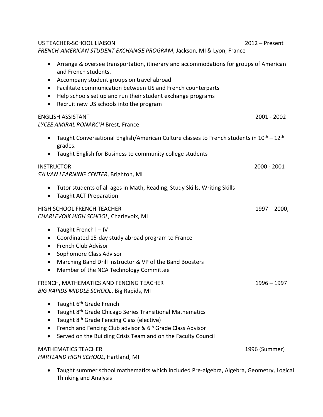US TEACHER-SCHOOL LIAISON 2012 – Present *FRENCH-AMERICAN STUDENT EXCHANGE PROGRAM*, Jackson, MI & Lyon, France • Arrange & oversee transportation, itinerary and accommodations for groups of American and French students. • Accompany student groups on travel abroad • Facilitate communication between US and French counterparts • Help schools set up and run their student exchange programs • Recruit new US schools into the program ENGLISH ASSISTANT 2001 - 2002 *LYCEE AMIRAL RONARC'H* Brest, France • Taught Conversational English/American Culture classes to French students in  $10^{th} - 12^{th}$ grades. • Taught English for Business to community college students INSTRUCTOR 2000 - 2001 *SYLVAN LEARNING CENTER*, Brighton, MI • Tutor students of all ages in Math, Reading, Study Skills, Writing Skills • Taught ACT Preparation HIGH SCHOOL FRENCH TEACHER 1997 – 2000, *CHARLEVOIX HIGH SCHOOL*, Charlevoix, MI  $\bullet$  Taught French  $I - IV$ • Coordinated 15-day study abroad program to France • French Club Advisor • Sophomore Class Advisor • Marching Band Drill Instructor & VP of the Band Boosters • Member of the NCA Technology Committee FRENCH, MATHEMATICS AND FENCING TEACHER1996 – 1997 *BIG RAPIDS MIDDLE SCHOOL*, Big Rapids, MI • Taught  $6<sup>th</sup>$  Grade French • Taught 8<sup>th</sup> Grade Chicago Series Transitional Mathematics • Taught 8<sup>th</sup> Grade Fencing Class (elective) • French and Fencing Club advisor &  $6<sup>th</sup>$  Grade Class Advisor • Served on the Building Crisis Team and on the Faculty Council MATHEMATICS TEACHER 1996 (Summer)

• Taught summer school mathematics which included Pre-algebra, Algebra, Geometry, Logical Thinking and Analysis

*HARTLAND HIGH SCHOOL*, Hartland, MI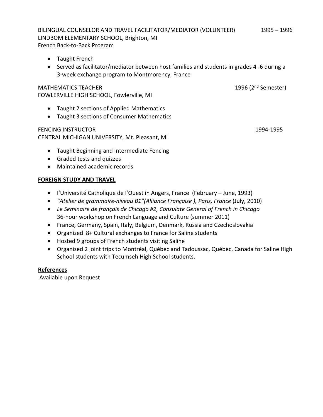BILINGUAL COUNSELOR AND TRAVEL FACILITATOR/MEDIATOR (VOLUNTEER) 1995 – 1996 LINDBOM ELEMENTARY SCHOOL, Brighton, MI French Back-to-Back Program

- Taught French
- Served as facilitator/mediator between host families and students in grades 4 -6 during a 3-week exchange program to Montmorency, France

## MATHEMATICS TEACHER 1996 (2<sup>nd</sup> Semester)

FOWLERVILLE HIGH SCHOOL, Fowlerville, MI

- Taught 2 sections of Applied Mathematics
- Taught 3 sections of Consumer Mathematics

#### FENCING INSTRUCTOR 1994-1995

CENTRAL MICHIGAN UNIVERSITY, Mt. Pleasant, MI

- Taught Beginning and Intermediate Fencing
- Graded tests and quizzes
- Maintained academic records

#### **FOREIGN STUDY AND TRAVEL**

- I'Université Catholique de I'Ouest in Angers, France (February June, 1993)
- *"Atelier de grammaire-niveau B1"(Alliance Française ), Paris, France* (July, 2010)
- *Le Seminaire de français de Chicago #2, Consulate General of French in Chicago* 36-hour workshop on French Language and Culture (summer 2011)
- France, Germany, Spain, Italy, Belgium, Denmark, Russia and Czechoslovakia
- Organized 8+ Cultural exchanges to France for Saline students
- Hosted 9 groups of French students visiting Saline
- Organized 2 joint trips to Montréal, Québec and Tadoussac, Québec, Canada for Saline High School students with Tecumseh High School students.

#### **References**

Available upon Request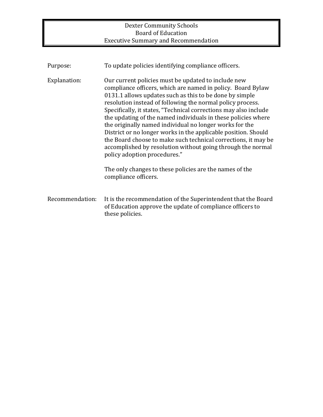#### Dexter Community Schools **Board of Education** Executive Summary and Recommendation

| Purpose:        | To update policies identifying compliance officers.                                                                                                                                                                                                                                                                                                                                                                                                                                                                                                                                                                                                                            |
|-----------------|--------------------------------------------------------------------------------------------------------------------------------------------------------------------------------------------------------------------------------------------------------------------------------------------------------------------------------------------------------------------------------------------------------------------------------------------------------------------------------------------------------------------------------------------------------------------------------------------------------------------------------------------------------------------------------|
| Explanation:    | Our current policies must be updated to include new<br>compliance officers, which are named in policy. Board Bylaw<br>0131.1 allows updates such as this to be done by simple<br>resolution instead of following the normal policy process.<br>Specifically, it states, "Technical corrections may also include<br>the updating of the named individuals in these policies where<br>the originally named individual no longer works for the<br>District or no longer works in the applicable position. Should<br>the Board choose to make such technical corrections, it may be<br>accomplished by resolution without going through the normal<br>policy adoption procedures." |
|                 | The only changes to these policies are the names of the<br>compliance officers.                                                                                                                                                                                                                                                                                                                                                                                                                                                                                                                                                                                                |
| Recommendation: | It is the recommendation of the Superintendent that the Board<br>of Education approve the update of compliance officers to<br>these policies.                                                                                                                                                                                                                                                                                                                                                                                                                                                                                                                                  |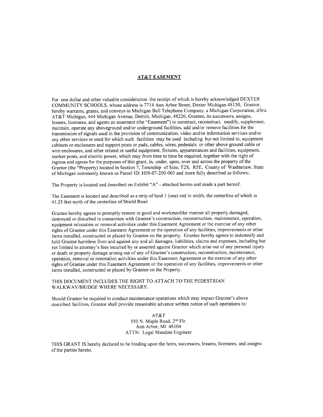#### **AT&T EASEMENT**

For one dollar and other valuable consideration the receipt of which is hereby acknowledged DEXTER COMMUNITY SCHOOLS, whose address is 7714 Ann Arbor Street, Dexter Michigan 48130, Grantor, hereby warrants, grants, and conveys to Michigan Bell Telephone Company, a Michigan Corporation, d/b/a AT&T Michigan, 444 Michigan Avenue, Detroit, Michigan, 48226, Grantee, its successors, assigns, lessees, licensees, and agents an easement (the "Easement") to construct, reconstruct, modify, supplement, maintain, operate any aboveground and/or underground facilities, add and/or remove facilities for the transmission of signals used in the provision of communication, video and/or information services and/or any other services or used for which such facilities may be used including but not limited to, equipment cabinets or enclosures and support posts or pads, cables, wires, pedestals or other above ground cable or wire enclosures, and other related or useful equipment, fixtures, appurtenances and facilities, equipment, marker posts, and electric power, which may from time to time be required, together with the right of ingress and egress for the purposes of this grant, in, under, upon, over and across the property of the Grantor (the "Property) located in Section 7, Township of Scio, T2S, R5E, County of Washtenaw, State of Michigan commonly known as Parcel ID: H08-07-200-003 and more fully described as follows:.

The Property is located and described on Exhibit "A" - attached hereto and made a part hereof.

The Easement is located and described as a strip of land 1 (one) rod in width, the centerline of which is 41.25 feet north of the centerline of Shield Road

Grantee hereby agrees to promptly restore in good and workmanlike manner all property damaged, destroyed or disturbed in connection with Grantee's construction, reconstruction, maintenance, operation, equipment relocation or removal activities under this Easement Agreement or the exercise of any other rights of Grantee under this Easement Agreement or the operation of any facilities, improvements or other items installed, constructed or placed by Grantee on the property. Grantee hereby agrees to indemnify and hold Grantor harmless from and against any and all damages, liabilities, claims and expenses, including but not limited to attorney's fees incurred by or asserted against Grantor which arise out of any personal injury or death or property damage arising out of any of Grantee's construction, reconstruction, maintenance, operation, removal or restoration activities under this Easement Agreement or the exercise of any other rights of Grantee under this Easement Agreement or the operation of any facilities, improvements or other items installed, constructed or placed by Grantee on the Property.

#### THIS DOCUMENT INCLUDES THE RIGHT TO ATTACH TO THE PEDESTRIAN WALKWAY/BRIDGE WHERE NECESSARY.

Should Grantor be required to conduct maintenance operations which may impact Grantee's above described facilities, Grantor shall provide reasonable advance written notice of such operations to:

> AT&T 550 N. Maple Road, 2<sup>nd</sup> Flr. Ann Arbor, MI 48104 ATTN: Legal Mandate Engineer

THIS GRANT IS hereby declared to be binding upon the heirs, successors, lessees, licensees, and assigns of the parties hereto.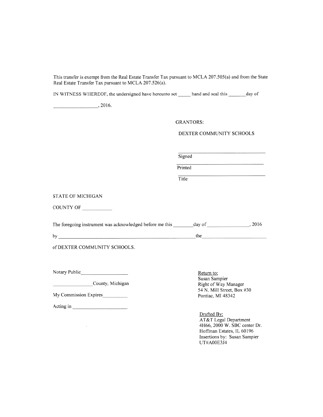This transfer is exempt from the Real Estate Transfer Tax pursuant to MCLA 207.505(a) and from the State Real Estate Transfer Tax pursuant to MCLA 207.526(a).

IN WITNESS WHEREOF, the undersigned have hereunto set hand and seal this day of

**GRANTORS:** 

DEXTER COMMUNITY SCHOOLS

 $Signed$ 

Printed

Title

**STATE OF MICHIGAN** 

COUNTY OF

| The foregoing instrument was acknowledged before me this | 2016<br>day of |  |
|----------------------------------------------------------|----------------|--|
|                                                          |                |  |

by the strategy of the strategy of the strategy of the strategy of the strategy of the strategy of the strategy of the strategy of the strategy of the strategy of the strategy of the strategy of the strategy of the strateg

of DEXTER COMMUNITY SCHOOLS.

Notary Public

County, Michigan

My Commission Expires

 $\sim$   $\sim$ 

Return to: Susan Sampier Right of Way Manager 54 N. Mill Street, Box #30 Pontiac, MI 48342

Drafted By: AT&T Legal Department 4H66, 2000 W. SBC center Dr. Hoffman Estates, IL 60196 Insertions by: Susan Sampier UT#A00E3J4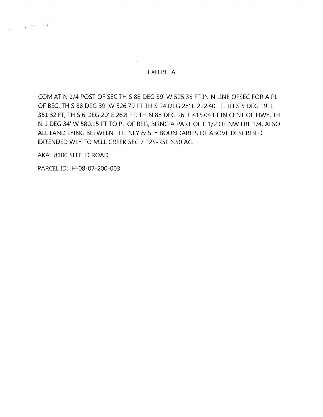#### EXHIBIT A

COM AT N 1/4 POST OF SEC TH S 88 DEG 39' W 525.35 FT IN N LINE OFSEC FOR A PL OF BEG, TH S 88 DEG 39' W 526.79 FT TH S 24 DEG 28' E 222.40 FT, TH S 5 DEG 19' E 351.32 FT, TH S 6 DEG 20' E 26.8 FT, TH N 88 DEG 26' E 415.04 FT IN CENT OF HWY, TH N 1 DEG 34' W 580.15 FT TO PL OF BEG, BEING A PART OF E 1/2 OF NW FRL 1/4, ALSO ALL LAND LYING BETWEEN THE NLY & SLY BOUNDARIES OF ABOVE DESCRIBED EXTENDED WLY TO MILL CREEK SEC 7 T2S-R5E 6.50 AC.

AKA: 8100 SHIELD ROAD

 $\frac{1}{\sqrt{2}}$  , as  $\sim 10^{-10}$ 

PARCEL ID: H-08-07-200-003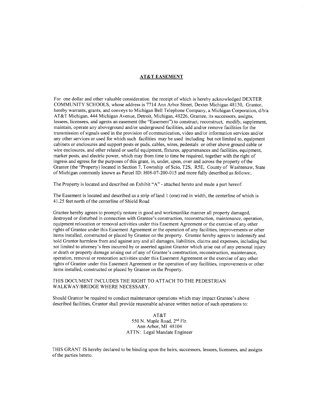#### **AT&T EASEMENT**

For one dollar and other valuable consideration the receipt of which is hereby acknowledged DEXTER COMMUNITY SCHOOLS, whose address is 7714 Ann Arbor Street, Dexter Michigan 48130, Grantor, hereby warrants, grants, and conveys to Michigan Bell Telephone Company, a Michigan Corporation, d/b/a AT&T Michigan, 444 Michigan Avenue, Detroit, Michigan, 48226, Grantee, its successors, assigns, lessees, licensees, and agents an easement (the "Easement") to construct, reconstruct, modify, supplement, maintain, operate any aboveground and/or underground facilities, add and/or remove facilities for the transmission of signals used in the provision of communication, video and/or information services and/or any other services or used for which such facilities may be used including but not limited to, equipment cabinets or enclosures and support posts or pads, cables, wires, pedestals or other above ground cable or wire enclosures, and other related or useful equipment, fixtures, appurtenances and facilities, equipment, marker posts, and electric power, which may from time to time be required, together with the right of ingress and egress for the purposes of this grant, in, under, upon, over and across the property of the Grantor (the "Property) located in Section 7, Township of Scio, T2S, R5E, County of Washtenaw, State of Michigan commonly known as Parcel ID: H08-07-200-015 and more fully described as follows:.

The Property is located and described on Exhibit "A" - attached hereto and made a part hereof.

The Easement is located and described as a strip of land 1 (one) rod in width, the centerline of which is 41.25 feet north of the centerline of Shield Road

Grantee hereby agrees to promptly restore in good and workmanlike manner all property damaged. destroved or disturbed in connection with Grantee's construction, reconstruction, maintenance, operation, equipment relocation or removal activities under this Easement Agreement or the exercise of any other rights of Grantee under this Easement Agreement or the operation of any facilities, improvements or other items installed, constructed or placed by Grantee on the property. Grantee hereby agrees to indemnify and hold Grantor harmless from and against any and all damages, liabilities, claims and expenses, including but not limited to attorney's fees incurred by or asserted against Grantor which arise out of any personal injury or death or property damage arising out of any of Grantee's construction, reconstruction, maintenance, operation, removal or restoration activities under this Easement Agreement or the exercise of any other rights of Grantee under this Easement Agreement or the operation of any facilities, improvements or other items installed, constructed or placed by Grantee on the Property.

#### THIS DOCUMENT INCLUDES THE RIGHT TO ATTACH TO THE PEDESTRIAN WALKWAY/BRIDGE WHERE NECESSARY.

Should Grantor be required to conduct maintenance operations which may impact Grantee's above described facilities, Grantor shall provide reasonable advance written notice of such operations to:

> AT&T 550 N. Maple Road, 2<sup>nd</sup> Flr. Ann Arbor, MI 48104 ATTN: Legal Mandate Engineer

THIS GRANT IS hereby declared to be binding upon the heirs, successors, lessees, licensees, and assigns of the parties hereto.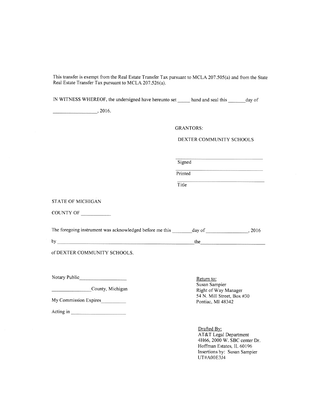This transfer is exempt from the Real Estate Transfer Tax pursuant to MCLA 207.505(a) and from the State Real Estate Transfer Tax pursuant to MCLA 207.526(a).

IN WITNESS WHEREOF, the undersigned have hereunto set hand and seal this day of

 $\overline{\phantom{1}}$ , 2016.

**GRANTORS:** 

DEXTER COMMUNITY SCHOOLS

Signed

Printed

 $Title$ 

**STATE OF MICHIGAN** 

COUNTY OF

The foregoing instrument was acknowledged before me this day of 3016

 $by$ 

of DEXTER COMMUNITY SCHOOLS.

Notary Public

County, Michigan

My Commission Expires

Return to: Susan Sampier Right of Way Manager 54 N. Mill Street, Box #30 Pontiac, MI 48342

<u>the the contract of the contract of the contract of the contract of the contract of the contract of the contract of the contract of the contract of the contract of the contract of the contract of the contract of the contr</u>

Drafted By: AT&T Legal Department 4H66, 2000 W. SBC center Dr. Hoffman Estates, IL 60196 Insertions by: Susan Sampier UT#A00E3J4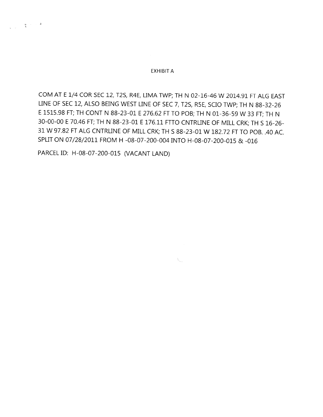#### **EXHIBIT A**

COM AT E 1/4 COR SEC 12, T2S, R4E, LIMA TWP; TH N 02-16-46 W 2014.91 FT ALG EAST LINE OF SEC 12, ALSO BEING WEST LINE OF SEC 7, T2S, R5E, SCIO TWP; TH N 88-32-26 E 1515.98 FT; TH CONT N 88-23-01 E 276.62 FT TO POB; TH N 01-36-59 W 33 FT; TH N 30-00-00 E 70.46 FT; TH N 88-23-01 E 176.11 FTTO CNTRLINE OF MILL CRK; TH S 16-26-31 W 97.82 FT ALG CNTRLINE OF MILL CRK; TH S 88-23-01 W 182.72 FT TO POB. .40 AC. SPLIT ON 07/28/2011 FROM H -08-07-200-004 INTO H-08-07-200-015 & -016

 $\lambda_{\rm{max}}$ 

PARCEL ID: H-08-07-200-015 (VACANT LAND)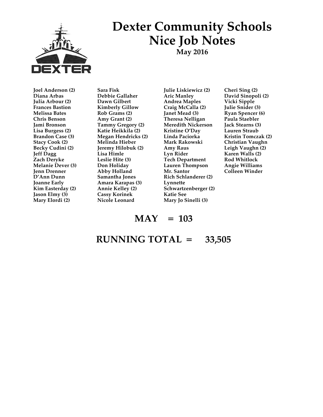

# **Dexter Community Schools Nice Job Notes**

**May 2016**

**Joel Anderson (2) Diana Arbas Julia Arbour (2) Frances Bastion Melissa Bates Chris Benson Jami Bronson Lisa Burgess (2) Brandon Case (3) Stacy Cook (2) Becky Cudini (2) Jeff Dagg Zach Deryke Melanie Dever (3) Jenn Drenner D'Ann Dunn Joanne Early Kim Easterday (2) Jason Elmy (3) Mary Elordi (2)** 

**Sara Fisk Debbie Gallaher Dawn Gilbert Kimberly Gillow Rob Grams (2) Amy Grant (2) Tammy Gregory (2) Katie Heikkila (2) Megan Hendricks (2) Melinda Hieber Jeremy Hilobuk (2) Lisa Himle Leslie Hite (3) Don Holiday Abby Holland Samantha Jones Amara Karapas (3) Annie Kelley (2) Cassy Korinek Nicole Leonard**

**Julie Liskiewicz (2) Aric Manley Andrea Maples Craig McCalla (2) Janet Mead (3) Theresa Nelligan Meredith Nickerson Kristine O'Day Linda Paciorka Mark Rakowski Amy Raus Lyn Rider Tech Department Lauren Thompson Mr. Santor Rich Schlanderer (2) Lynnette Schwartzenberger (2) Katie See Mary Jo Sinelli (3)** 

**Cheri Sing (2) David Sinopoli (2) Vicki Sipple Julie Snider (3) Ryan Spencer (6) Paula Staebler Jack Stearns (3) Lauren Straub Kristin Tomczak (2) Christian Vaughn Leigh Vaughn (2) Karen Walls (2) Rod Whitlock Angie Williams Colleen Winder**

# $MAY = 103$

# **RUNNING TOTAL = 33,505**